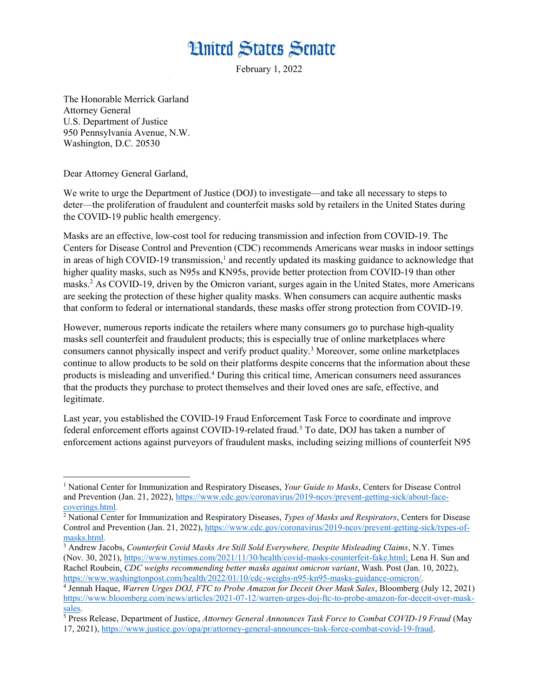## **Hnited States Senate**

February 1, 2022

The Honorable Merrick Garland Attorney General U.S. Department of Justice 950 Pennsylvania Avenue, N.W. Washington, D.C. 20530

Dear Attorney General Garland,

We write to urge the Department of Justice (DOJ) to investigate—and take all necessary to steps to deter—the proliferation of fraudulent and counterfeit masks sold by retailers in the United States during the COVID-19 public health emergency.

Masks are an effective, low-cost tool for reducing transmission and infection from COVID-19. The Centers for Disease Control and Prevention (CDC) recommends Americans wear masks in indoor settings in areas of high COVID-19 transmission,<sup>1</sup> and recently updated its masking guidance to acknowledge that higher quality masks, such as N95s and KN95s, provide better protection from COVID-19 than other masks.<sup>2</sup> As COVID-19, driven by the Omicron variant, surges again in the United States, more Americans are seeking the protection of these higher quality masks. When consumers can acquire authentic masks that conform to federal or international standards, these masks offer strong protection from COVID-19.

However, numerous reports indicate the retailers where many consumers go to purchase high-quality masks sell counterfeit and fraudulent products; this is especially true of online marketplaces where consumers cannot physically inspect and verify product quality.<sup>3</sup> Moreover, some online marketplaces continue to allow products to be sold on their platforms despite concerns that the information about these products is misleading and unverified.<sup>4</sup> During this critical time, American consumers need assurances that the products they purchase to protect themselves and their loved ones are safe, effective, and legitimate.

Last year, you established the COVID-19 Fraud Enforcement Task Force to coordinate and improve federal enforcement efforts against COVID-19-related fraud.<sup>5</sup> To date, DOJ has taken a number of enforcement actions against purveyors of fraudulent masks, including seizing millions of counterfeit N95

<sup>&</sup>lt;sup>1</sup> National Center for Immunization and Respiratory Diseases, Your Guide to Masks, Centers for Disease Control and Prevention (Jan. 21, 2022), https://www.cdc.gov/coronavirus/2019-ncov/prevent-getting-sick/about-facecoverings.html.

<sup>&</sup>lt;sup>2</sup> National Center for Immunization and Respiratory Diseases, Types of Masks and Respirators, Centers for Disease Control and Prevention (Jan. 21, 2022), https://www.cdc.gov/coronavirus/2019-ncov/prevent-getting-sick/types-ofmasks.html.

<sup>&</sup>lt;sup>3</sup> Andrew Jacobs, Counterfeit Covid Masks Are Still Sold Everywhere, Despite Misleading Claims, N.Y. Times (Nov. 30, 2021), https://www.nytimes.com/2021/11/30/health/covid-masks-counterfeit-fake.html; Lena H. Sun and Rachel Roubein, CDC weighs recommending better masks against omicron variant, Wash. Post (Jan. 10, 2022), https://www.washingtonpost.com/health/2022/01/10/cdc-weighs-n95-kn95-masks-guidance-omicron/.

<sup>&</sup>lt;sup>4</sup> Jennah Haque, *Warren Urges DOJ, FTC to Probe Amazon for Deceit Over Mask Sales*, Bloomberg (July 12, 2021) https://www.bloomberg.com/news/articles/2021-07-12/warren-urges-doj-ftc-to-probe-amazon-for-deceit-over-masksales.

<sup>&</sup>lt;sup>5</sup> Press Release, Department of Justice, Attorney General Announces Task Force to Combat COVID-19 Fraud (May 17, 2021), https://www.justice.gov/opa/pr/attorney-general-announces-task-force-combat-covid-19-fraud.